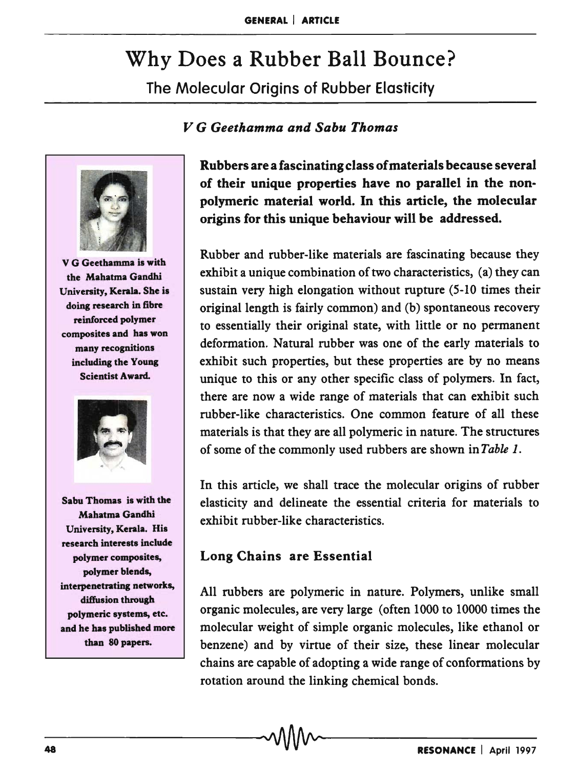# Why Does a Rubber Ball Bounce?

The Molecular Origins of Rubber Elasticity

## *V* G *Geethamma and Sabu Thomas*



V G Geethamma is with the Mahatma Gandhi Univenity, Kerala. She is doing research in fibre reinforced polymer composites and has won many recognitions including the Young Scientist Award.



Sabu Thomas is with the Mahatma Gandhi Univenity, Kerala. His research interests include polymer composites, polymer blends, interpenetrating networks, diffusion through polymeric systems, etc. and he has published more than 80 papers.

Rubbers are a fascinating class of materials because several of their unique properties have no parallel in the nonpolymeric material world. In this article, the molecular origins for this unique behaviour will be addressed.

Rubber and rubber-like materials are fascinating because they exhibit a unique combination of two characteristics, (a) they can sustain very high elongation without rupture (5-10 times their original length is fairly common) and (b) spontaneous recovery to essentially their original state, with little or no permanent deformation. Natural rubber was one of the early materials to exhibit such properties, but these properties are by no means unique to this or any other specific class of polymers. In fact, there are now a wide range of materials that can exhibit such rubber-like characteristics. One common feature of all these materials is that they are all polymeric in nature. The structures of some of the commonly used rubbers are shown in *Table 1.* 

In this article, we shall trace the molecular origins of rubber elasticity and delineate the essential criteria for materials to exhibit rubber-like characteristics.

# Long Chains are Essential

All rubbers are polymeric in nature. Polymers, unlike small organic molecules, are very large (often 1000 to 10000 times the molecular weight of simple organic molecules, like ethanol or benzene) and by virtue of their size, these linear molecular chains are capable of adopting a wide range of conformations by rotation around the linking chemical bonds.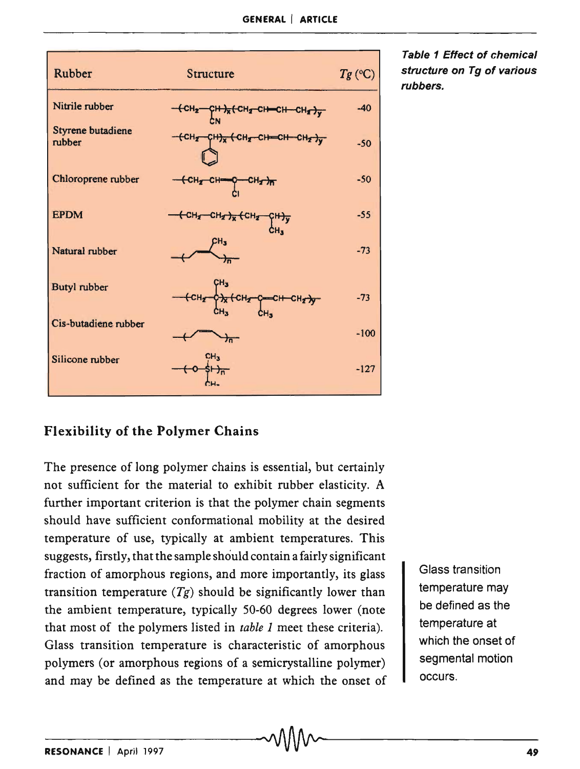| <b>Rubber</b>                      | Structure                                                                                           | $Tg$ (°C) |
|------------------------------------|-----------------------------------------------------------------------------------------------------|-----------|
| Nitrile rubber                     | $-CH_2$ $ CH_3$ $+$ $CH_4$ $ CH_2$ $CH_3$ $ CH_4$ $+$ $CH_4$ $+$ $CH_2$ $+$                         | $-40$     |
| <b>Styrene butadiene</b><br>rubber | -CH2 CH2 CH2 CH=CH CH2 )                                                                            | $-50$     |
| Chloroprene rubber                 | ${C}H_{Z}$ $C}H=$<br>$CH_2$ <sub><math>\pi</math></sub>                                             | $-50$     |
| <b>EPDM</b>                        | <del>( CH2 CH<sub>2</sub> )<sub>x</sub> ( CH<sub>2</sub> CH<sub>3</sub> )y</del><br>CH <sub>3</sub> | $-55$     |
| Natural rubber                     | CH <sub>3</sub>                                                                                     | $-73$     |
| <b>Butyl</b> rubber                | $CH_{Z}$<br>PX CH2 C-CH CH27                                                                        | $-73$     |
| Cis-butadiene rubber               | 方                                                                                                   | $-100$    |
| Silicone rubber                    | CH <sub>3</sub>                                                                                     | $-127$    |

Table 1 Effect of chemical structure on Tg of various rubbers.

# Flexibility of the Polymer Chains

The presence of long polymer chains is essential, but certainly not sufficient for the material to exhibit rubber elasticity. A further important criterion is that the polymer chain segments should have sufficient conformational mobility at the desired temperature of use, typically at ambient temperatures. This suggests, firstly, that the sample should contain a fairly significant fraction of amorphous regions, and more importantly, its glass transition temperature  $(Tg)$  should be significantly lower than the ambient temperature, typically 50-60 degrees lower (note that most of the polymers listed in *table* 1 meet these criteria). Glass transition temperature is characteristic of amorphous polymers (or amorphous regions of a semicrystalline polymer) and may be defined as the temperature at which the onset of

Glass transition temperature may be defined as the temperature at which the onset of segmental motion occurs.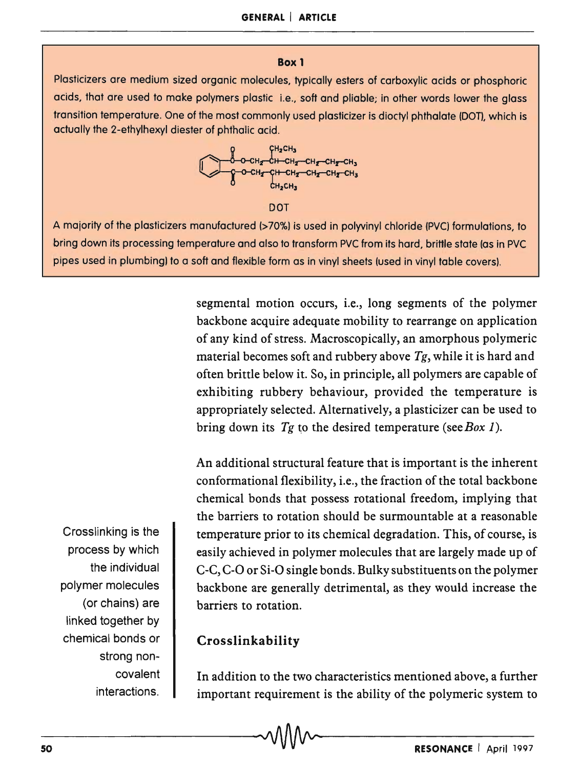#### **Box 1**

Plasticizers are medium sized organic molecules, typically esters of carboxylic acids or phosphoric acids, that are used to make polymers plastic i.e., soft and pliable; in other words lower the glass transition temperature. One of the most commonly used plasticizer is dioctyl phthalate (DOT), which is actually the 2-ethylhexyl diester of phthalic acid.



DOT

A majority of the plasticizers manufactured (>70%) is used in polyvinyl chloride (PVC) formulations, to bring down its processing temperature and also to transform PVC from its hard, brittle state (as in PVC pipes used in plumbing) to a soft and flexible form as in vinyl sheets (used in vinyl table covers).

> segmental motion occurs, i.e., long segments of the polymer backbone acquire adequate mobility to rearrange on application of any kind of stress. Macroscopically, an amorphous polymeric material becomes soft and rubbery above *Tg,* while it is hard and often brittle below it. So, in principle, all polymers are capable of exhibiting rubbery behaviour, provided the temperature is appropriately selected. Alternatively, a plasticizer can be used to bring down its *Tg* to the desired temperature *(seeBox 1).*

> An additional structural feature that is important is the inherent conformational flexibility, i.e., the fraction of the total backbone chemical bonds that possess rotational freedom, implying that the barriers to rotation should be surmountable at a reasonable temperature prior to its chemical degradation. This, of course, is easily achieved in polymer molecules that are largely made up of C-C, C-O or Si-O single bonds. Bulky substituents on the polymer backbone are generally detrimental, as they would increase the barriers to rotation.

# **Crosslinkability**

In addition to the two characteristics mentioned above, a further important requirement is the ability of the polymeric system to In addition to the two characteristics mentioned above, a further<br>important requirement is the ability of the polymeric system to<br>RESONANCE | April 1997

Crosslinking is the process by which the individual polymer molecules (or chains) are linked together by chemical bonds or strong noncovalent interactions.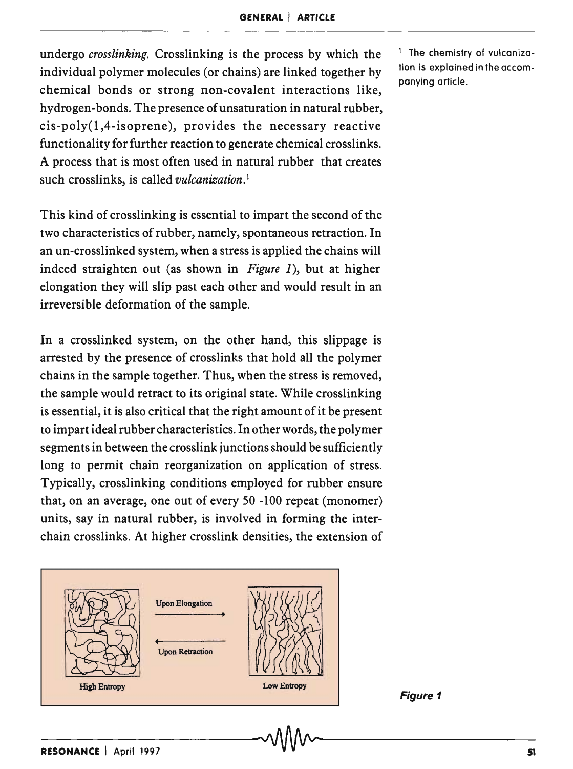undergo *crosslinking.* Crosslinking is the process by which the individual polymer molecules (or chains) are linked together by chemical bonds or strong non-covalent interactions like, hydrogen-bonds. The presence of unsaturation in natural rubber, cis-poly(l,4-isoprene), provides the necessary reactive functionality for further reaction to generate chemical crosslinks. A process that is most often used in natural rubber that creates such crosslinks, is called *vulcanization.*<sup>l</sup>

This kind of crosslinking is essential to impart the second of the two characteristics of rubber, namely, spontaneous retraction. In an un-crosslinked system, when a stress is applied the chains will indeed straighten out (as shown in *Figure* 1), but at higher elongation they will slip past each other and would result in an irreversible deformation of the sample.

In a crosslinked system, on the other hand, this slippage is arrested by the presence of crosslinks that hold all the polymer chains in the sample together. Thus, when the stress is removed, the sample would retract to its original state. While crosslinking is essential, it is also critical that the right amount of it be present to impart ideal rubber characteristics. In other words, the polymer segments in between the crosslink junctions should be sufficiently long to permit chain reorganization on application of stress. Typically, crosslinking conditions employed for rubber ensure that, on an average, one out of every 50 -100 repeat (monomer) units, say in natural rubber, is involved in forming the interchain crosslinks. At higher crosslink densities, the extension of



1 The chemistry of vulcanization is explained in the accompanying article.

Figure 1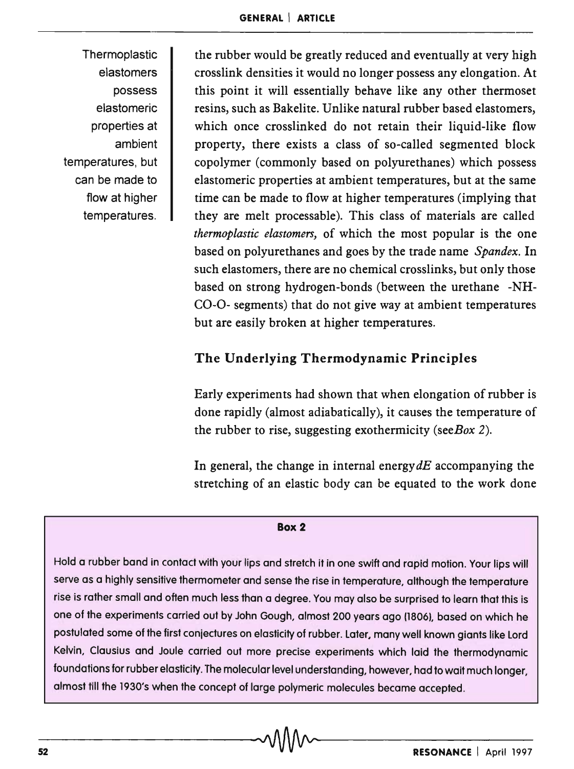**Thermoplastic** elastomers possess elastomeric properties at ambient temperatures, but can be made to flow at higher temperatures.

the rubber would be greatly reduced and eventually at very high crosslink densities it would no longer possess any elongation. At this point it will essentially behave like any other thermoset resins, such as Bakelite. Unlike natural rubber based elastomers, which once crosslinked do not retain their liquid-like flow property, there exists a class of so-called segmented block copolymer (commonly based on polyurethanes) which possess elastomeric properties at ambient temperatures, but at the same time can be made to flow at higher temperatures (implying that they are melt processable). This class of materials are called *thermoplastic elastomers,* of which the most popular is the one based on polyurethanes and goes by the trade name *Spandex.* In such elastomers, there are no chemical crosslinks, but only those based on strong hydrogen-bonds (between the urethane -NH-CO-O- segments) that do not give way at ambient temperatures but are easily broken at higher temperatures.

# The Underlying Thermodynamic Principles

Early experiments had shown that when elongation of rubber is done rapidly (almost adiabatically), it causes the temperature of the rubber to rise, suggesting exothermicity *(seeBox 2).* 

In general, the change in internal energy  $dE$  accompanying the stretching of an elastic body can be equated to the work done

#### Box 2

Hold a rubber band in contact with your lips and stretch it in one swift and rapid motion. Your lips will serve as a highly sensitive thermometer and sense the rise in temperature, although the temperature rise is rather small and often much less than a degree. You may also be surprised to learn that this is one of the experiments carried out by John Gough, almost 200 years ago (1806), based on which he postulated some of the first conjectures on elasticity of rubber. Later. many well known giants like Lord Kelvin, Clausius and Joule carried out more precise experiments which laid the thermodynamic foundations for rubber elasticity. The molecular level understanding, however, had to wait much longer, almost till the 1930's when the concept of large polymeric molecules became accepted.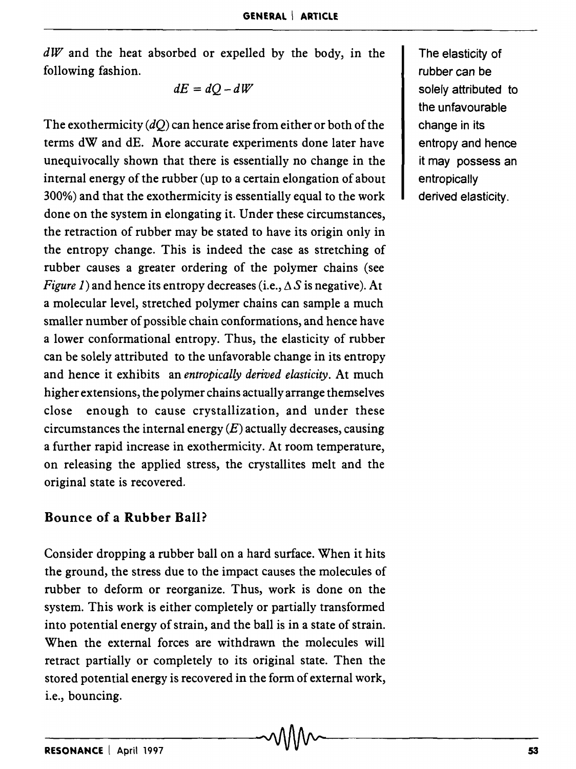*dW* and the heat absorbed or expelled by the body, in the following fashion.

$$
dE = dQ - dW
$$

The exothermicity *(dQ)* can hence arise from either or both of the terms dW and dE. More accurate experiments done later have unequivocally shown that there is essentially no change in the internal energy of the rubber (up to a certain elongation of about 300%) and that the exothermicity is essentially equal to the work done on the system in elongating it. Under these circumstances, the retraction of rubber may be stated to have its origin only in the entropy change. This is indeed the case as stretching of rubber causes a greater ordering of the polymer chains (see *Figure 1*) and hence its entropy decreases (i.e.,  $\Delta S$  is negative). At a molecular level, stretched polymer chains can sample a much smaller number of possible chain conformations, and hence have a lower conformational entropy. Thus, the elasticity of rubber can be solely attributed to the unfavorable change in its entropy and hence it exhibits an *entropically derived elasticity.* At much higher extensions, the polymer chains actually arrange themselves close enough to cause crystallization, and under these circumstances the internal energy  $(E)$  actually decreases, causing a further rapid increase in exothermicity. At room temperature, on releasing the applied stress, the crystallites melt and the original state is recovered.

#### Bounce of a Rubber Ball?

Consider dropping a rubber ball on a hard surface. When it hits the ground, the stress due to the impact causes the molecules of rubber to deform or reorganize. Thus, work is done on the system. This work is either completely or partially transformed into potential energy of strain, and the ball is in a state of strain. When the external forces are withdrawn the molecules will retract partially or completely to its original state. Then the stored potential energy is recovered in the form of external work, i.e., bouncing.

The elasticity of rubber can be solely attributed to the unfavourable change in its entropy and hence it may possess an entropically derived elasticity.